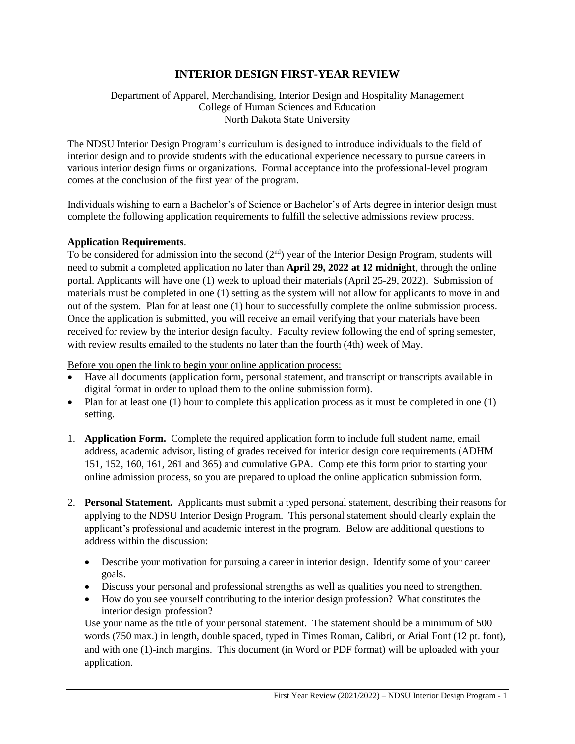# **INTERIOR DESIGN FIRST-YEAR REVIEW**

Department of Apparel, Merchandising, Interior Design and Hospitality Management College of Human Sciences and Education North Dakota State University

The NDSU Interior Design Program's curriculum is designed to introduce individuals to the field of interior design and to provide students with the educational experience necessary to pursue careers in various interior design firms or organizations. Formal acceptance into the professional-level program comes at the conclusion of the first year of the program.

Individuals wishing to earn a Bachelor's of Science or Bachelor's of Arts degree in interior design must complete the following application requirements to fulfill the selective admissions review process.

### **Application Requirements**.

To be considered for admission into the second  $(2<sup>nd</sup>)$  year of the Interior Design Program, students will need to submit a completed application no later than **April 29, 2022 at 12 midnight**, through the online portal. Applicants will have one (1) week to upload their materials (April 25-29, 2022). Submission of materials must be completed in one (1) setting as the system will not allow for applicants to move in and out of the system. Plan for at least one (1) hour to successfully complete the online submission process. Once the application is submitted, you will receive an email verifying that your materials have been received for review by the interior design faculty. Faculty review following the end of spring semester, with review results emailed to the students no later than the fourth (4th) week of May.

Before you open the link to begin your online application process:

- Have all documents (application form, personal statement, and transcript or transcripts available in digital format in order to upload them to the online submission form).
- Plan for at least one  $(1)$  hour to complete this application process as it must be completed in one  $(1)$ setting.
- 1. **Application Form.** Complete the required application form to include full student name, email address, academic advisor, listing of grades received for interior design core requirements (ADHM 151, 152, 160, 161, 261 and 365) and cumulative GPA. Complete this form prior to starting your online admission process, so you are prepared to upload the online application submission form.
- 2. **Personal Statement.** Applicants must submit a typed personal statement, describing their reasons for applying to the NDSU Interior Design Program. This personal statement should clearly explain the applicant's professional and academic interest in the program. Below are additional questions to address within the discussion:
	- Describe your motivation for pursuing a career in interior design. Identify some of your career goals.
	- Discuss your personal and professional strengths as well as qualities you need to strengthen.
	- How do you see yourself contributing to the interior design profession? What constitutes the interior design profession?

Use your name as the title of your personal statement. The statement should be a minimum of 500 words (750 max.) in length, double spaced, typed in Times Roman, Calibri, or Arial Font (12 pt. font), and with one (1)-inch margins. This document (in Word or PDF format) will be uploaded with your application.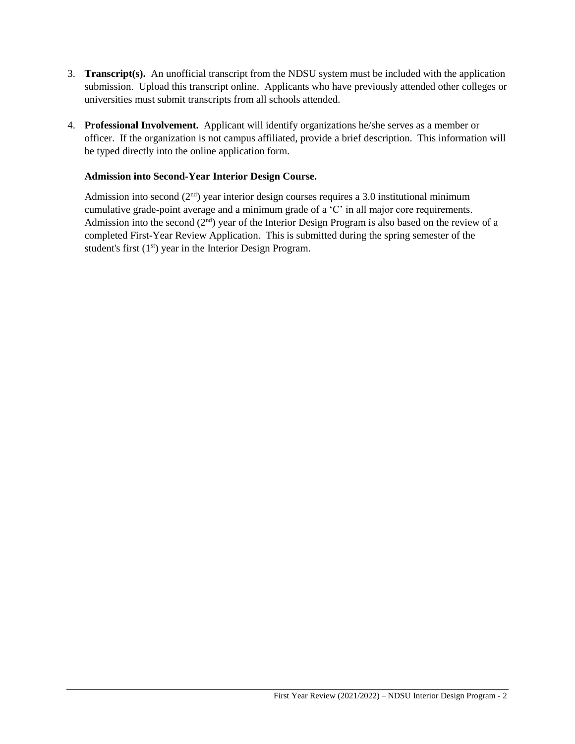- 3. **Transcript(s).** An unofficial transcript from the NDSU system must be included with the application submission. Upload this transcript online. Applicants who have previously attended other colleges or universities must submit transcripts from all schools attended.
- 4. **Professional Involvement.** Applicant will identify organizations he/she serves as a member or officer. If the organization is not campus affiliated, provide a brief description. This information will be typed directly into the online application form.

## **Admission into Second-Year Interior Design Course.**

Admission into second  $(2<sup>nd</sup>)$  year interior design courses requires a 3.0 institutional minimum cumulative grade-point average and a minimum grade of a 'C' in all major core requirements. Admission into the second  $(2<sup>nd</sup>)$  year of the Interior Design Program is also based on the review of a completed First-Year Review Application. This is submitted during the spring semester of the student's first  $(1<sup>st</sup>)$  year in the Interior Design Program.